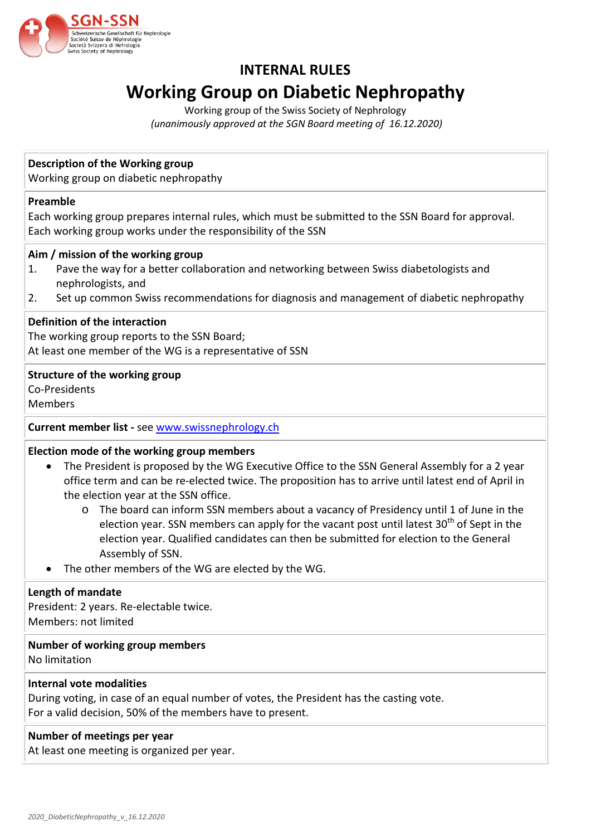

# **INTERNAL RULES Working Group on Diabetic Nephropathy**

Working group of the Swiss Society of Nephrology *(unanimously approved at the SGN Board meeting of 16.12.2020)*

# **Description of the Working group**

Working group on diabetic nephropathy

# **Preamble**

Each working group prepares internal rules, which must be submitted to the SSN Board for approval. Each working group works under the responsibility of the SSN

# **Aim / mission of the working group**

- 1. Pave the way for a better collaboration and networking between Swiss diabetologists and nephrologists, and
- 2. Set up common Swiss recommendations for diagnosis and management of diabetic nephropathy

# **Definition of the interaction**

The working group reports to the SSN Board; At least one member of the WG is a representative of SSN

# **Structure of the working group**

Co-Presidents

Members

# **Current member list -** see [www.swissnephrology.ch](http://www.swissnephrology.ch/)

# **Election mode of the working group members**

- The President is proposed by the WG Executive Office to the SSN General Assembly for a 2 year office term and can be re-elected twice. The proposition has to arrive until latest end of April in the election year at the SSN office.
	- o The board can inform SSN members about a vacancy of Presidency until 1 of June in the election year. SSN members can apply for the vacant post until latest 30<sup>th</sup> of Sept in the election year. Qualified candidates can then be submitted for election to the General Assembly of SSN.
- The other members of the WG are elected by the WG.

#### **Length of mandate**

President: 2 years. Re-electable twice. Members: not limited

#### **Number of working group members**

No limitation

#### **Internal vote modalities**

During voting, in case of an equal number of votes, the President has the casting vote. For a valid decision, 50% of the members have to present.

# **Number of meetings per year**

At least one meeting is organized per year.